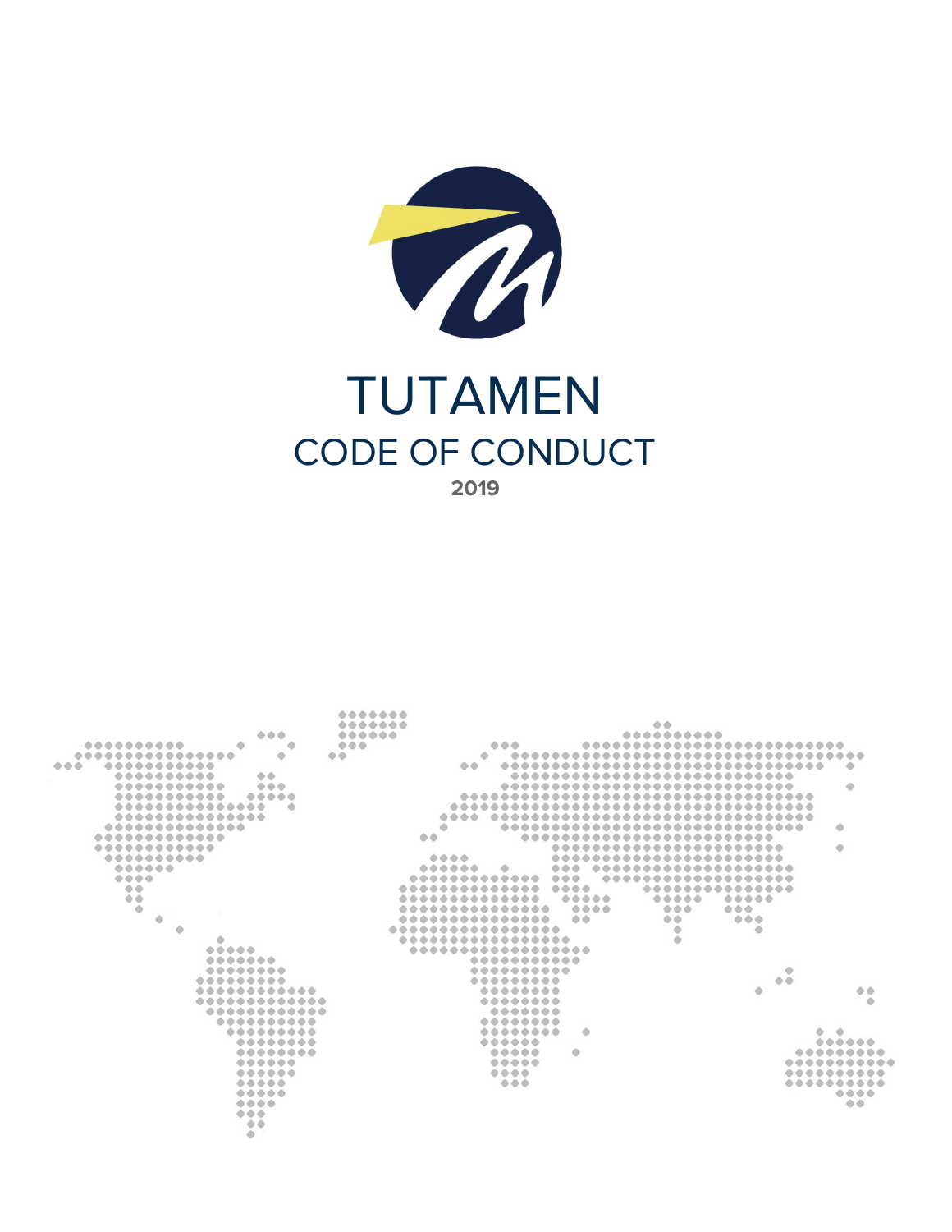

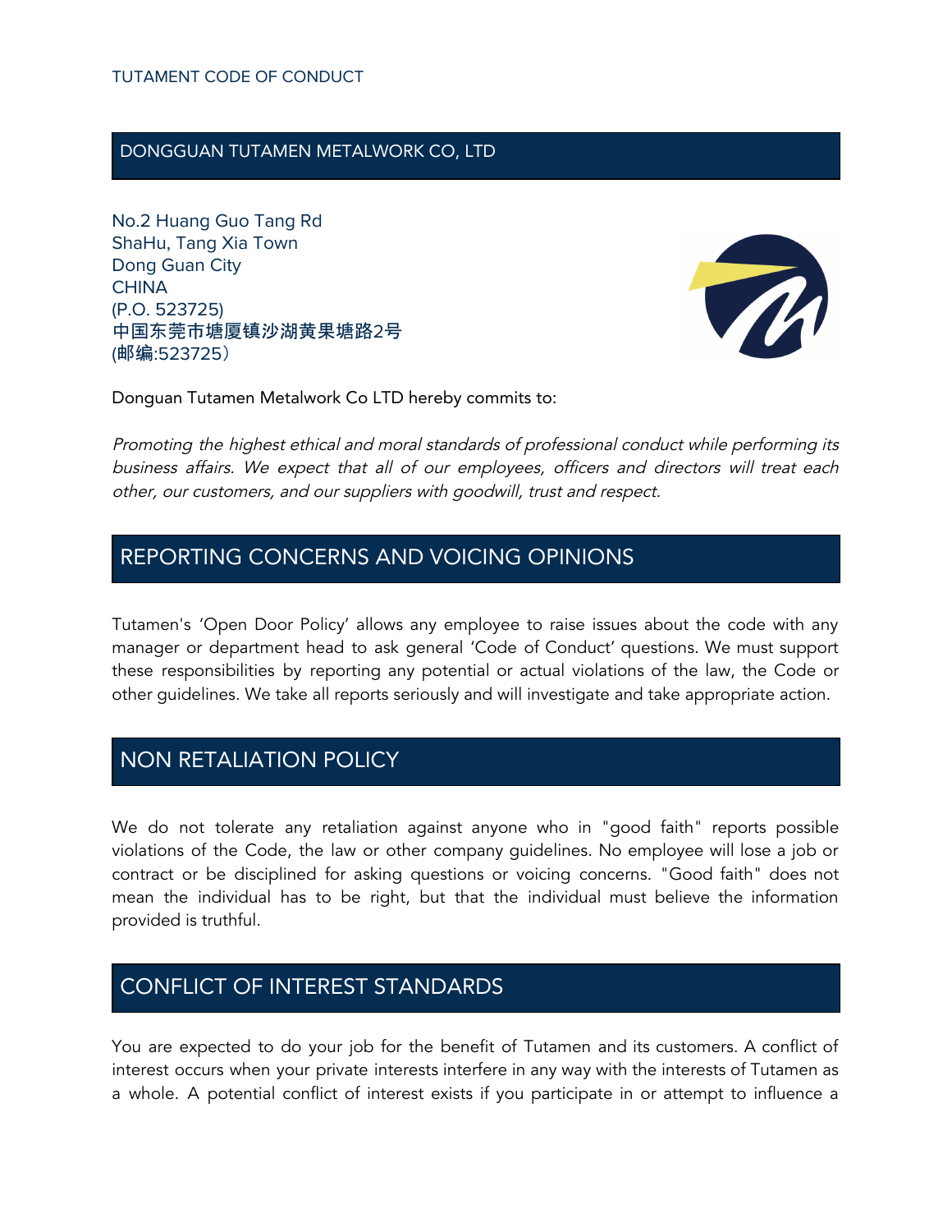### DONGGUAN TUTAMEN METALWORK CO, LTD

No.2 Huang Guo Tang Rd ShaHu, Tang Xia Town Dong Guan City **CHINA** (P.O. 523725) 中国东莞市塘厦镇沙湖黄果塘路2号 (邮编:523725)



Donguan Tutamen Metalwork Co LTD hereby commits to:

Promoting the highest ethical and moral standards of professional conduct while performing its business affairs. We expect that all of our employees, officers and directors will treat each other, our customers, and our suppliers with goodwill, trust and respect.

### REPORTING CONCERNS AND VOICING OPINIONS

Tutamen's 'Open Door Policy' allows any employee to raise issues about the code with any manager or department head to ask general 'Code of Conduct' questions. We must support these responsibilities by reporting any potential or actual violations of the law, the Code or other guidelines. We take all reports seriously and will investigate and take appropriate action.

# NON RETALIATION POLICY

We do not tolerate any retaliation against anyone who in "good faith" reports possible violations of the Code, the law or other company guidelines. No employee will lose a job or contract or be disciplined for asking questions or voicing concerns. "Good faith" does not mean the individual has to be right, but that the individual must believe the information provided is truthful.

# CONFLICT OF INTEREST STANDARDS

You are expected to do your job for the benefit of Tutamen and its customers. A conflict of interest occurs when your private interests interfere in any way with the interests of Tutamen as a whole. A potential conflict of interest exists if you participate in or attempt to influence a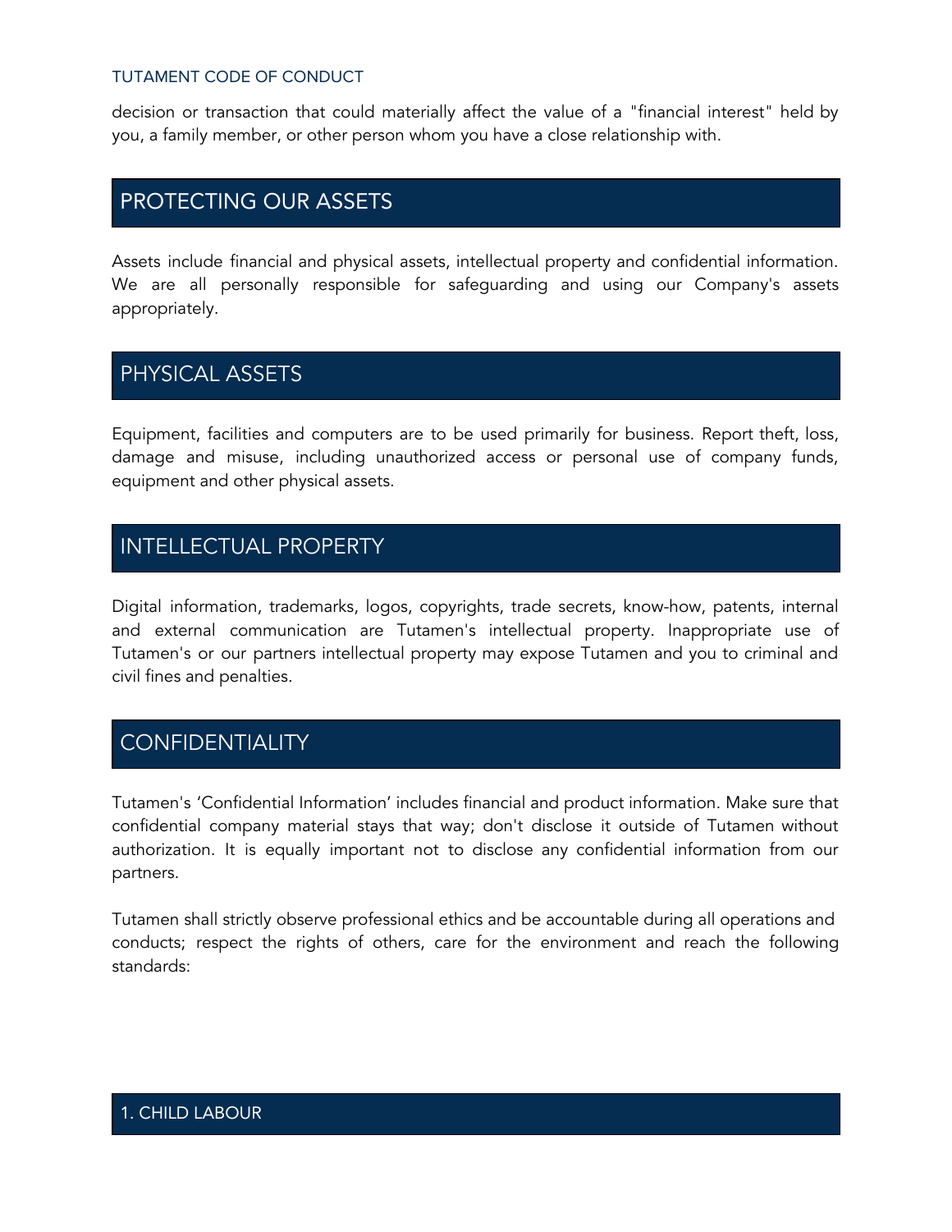#### TUTAMENT CODE OF CONDUCT

decision or transaction that could materially affect the value of a "financial interest" held by you, a family member, or other person whom you have a close relationship with.

### PROTECTING OUR ASSETS

Assets include financial and physical assets, intellectual property and confidential information. We are all personally responsible for safeguarding and using our Company's assets appropriately.

### PHYSICAL ASSETS

Equipment, facilities and computers are to be used primarily for business. Report theft, loss, damage and misuse, including unauthorized access or personal use of company funds, equipment and other physical assets.

## INTELLECTUAL PROPERTY

Digital information, trademarks, logos, copyrights, trade secrets, know-how, patents, internal and external communication are Tutamen's intellectual property. Inappropriate use of Tutamen's or our partners intellectual property may expose Tutamen and you to criminal and civil fines and penalties.

# **CONFIDENTIALITY**

Tutamen's 'Confidential Information' includes financial and product information. Make sure that confidential company material stays that way; don't disclose it outside of Tutamen without authorization. It is equally important not to disclose any confidential information from our partners.

Tutamen shall strictly observe professional ethics and be accountable during all operations and conducts; respect the rights of others, care for the environment and reach the following standards: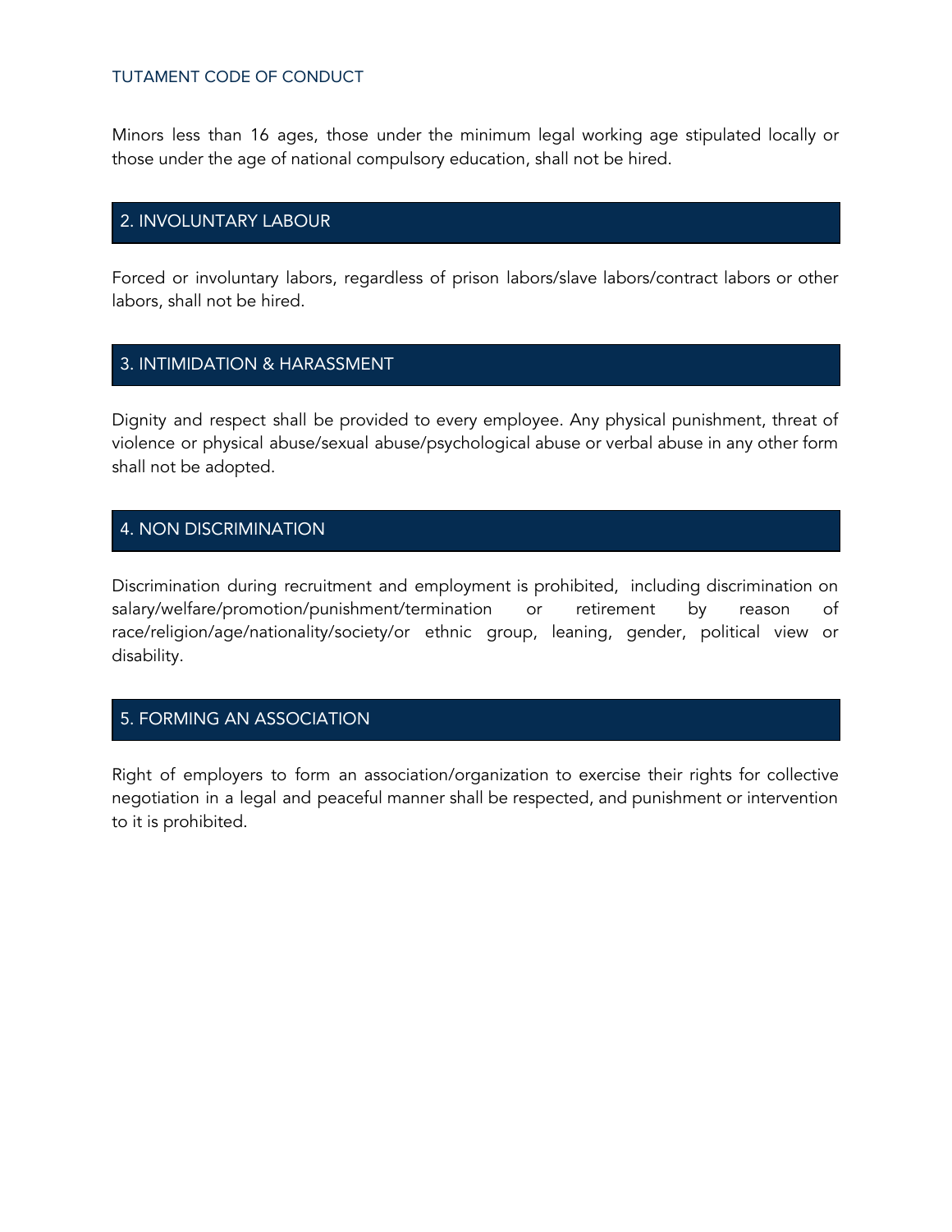#### TUTAMENT CODE OF CONDUCT

Minors less than 16 ages, those under the minimum legal working age stipulated locally or those under the age of national compulsory education, shall not be hired.

### 2. INVOLUNTARY LABOUR

Forced or involuntary labors, regardless of prison labors/slave labors/contract labors or other labors, shall not be hired.

### 3. INTIMIDATION & HARASSMENT

Dignity and respect shall be provided to every employee. Any physical punishment, threat of violence or physical abuse/sexual abuse/psychological abuse or verbal abuse in any other form shall not be adopted.

### 4. NON DISCRIMINATION

Discrimination during recruitment and employment is prohibited, including discrimination on salary/welfare/promotion/punishment/termination or retirement by reason of race/religion/age/nationality/society/or ethnic group, leaning, gender, political view or disability.

#### 5. FORMING AN ASSOCIATION

Right of employers to form an association/organization to exercise their rights for collective negotiation in a legal and peaceful manner shall be respected, and punishment or intervention to it is prohibited.